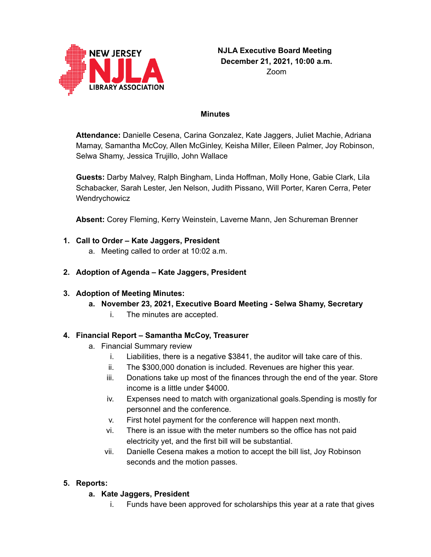

#### **Minutes**

**Attendance:** Danielle Cesena, Carina Gonzalez, Kate Jaggers, Juliet Machie, Adriana Mamay, Samantha McCoy, Allen McGinley, Keisha Miller, Eileen Palmer, Joy Robinson, Selwa Shamy, Jessica Trujillo, John Wallace

**Guests:** Darby Malvey, Ralph Bingham, Linda Hoffman, Molly Hone, Gabie Clark, Lila Schabacker, Sarah Lester, Jen Nelson, Judith Pissano, Will Porter, Karen Cerra, Peter Wendrychowicz

**Absent:** Corey Fleming, Kerry Weinstein, Laverne Mann, Jen Schureman Brenner

#### **1. Call to Order – Kate Jaggers, President**

a. Meeting called to order at 10:02 a.m.

#### **2. Adoption of Agenda – Kate Jaggers, President**

#### **3. Adoption of Meeting Minutes:**

- **a. November 23, 2021, Executive Board Meeting - Selwa Shamy, Secretary**
	- i. The minutes are accepted.

#### **4. Financial Report – Samantha McCoy, Treasurer**

- a. Financial Summary review
	- i. Liabilities, there is a negative \$3841, the auditor will take care of this.
	- ii. The \$300,000 donation is included. Revenues are higher this year.
	- iii. Donations take up most of the finances through the end of the year. Store income is a little under \$4000.
	- iv. Expenses need to match with organizational goals.Spending is mostly for personnel and the conference.
	- v. First hotel payment for the conference will happen next month.
	- vi. There is an issue with the meter numbers so the office has not paid electricity yet, and the first bill will be substantial.
	- vii. Danielle Cesena makes a motion to accept the bill list, Joy Robinson seconds and the motion passes.

#### **5. Reports:**

#### **a. Kate Jaggers, President**

i. Funds have been approved for scholarships this year at a rate that gives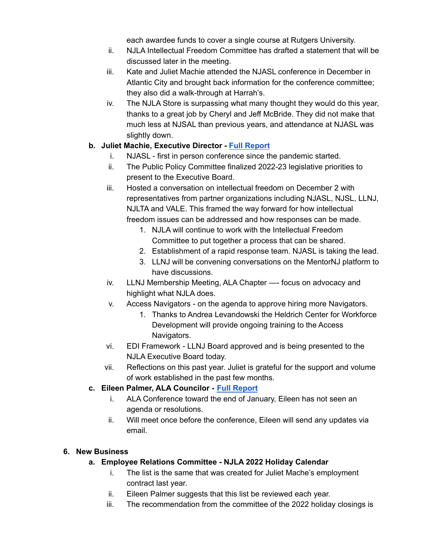each awardee funds to cover a single course at Rutgers University.

- ii. NJLA Intellectual Freedom Committee has drafted a statement that will be discussed later in the meeting.
- iii. Kate and Juliet Machie attended the NJASL conference in December in Atlantic City and brought back information for the conference committee; they also did a walk-through at Harrah's.
- iv. The NJLA Store is surpassing what many thought they would do this year, thanks to a great job by Cheryl and Jeff McBride. They did not make that much less at NJSAL than previous years, and attendance at NJASL was slightly down.

# **b. Juliet Machie, Executive Director - Full [Report](https://njla.memberclicks.net/assets/Exec_Board_Minutes_Docs/Board_Docs_2021-22/Exec%20Dir%20Report%20December%202021.pdf)**

- i. NJASL first in person conference since the pandemic started.
- ii. The Public Policy Committee finalized 2022-23 legislative priorities to present to the Executive Board.
- iii. Hosted a conversation on intellectual freedom on December 2 with representatives from partner organizations including NJASL, NJSL, LLNJ, NJLTA and VALE. This framed the way forward for how intellectual freedom issues can be addressed and how responses can be made.
	- 1. NJLA will continue to work with the Intellectual Freedom Committee to put together a process that can be shared.
	- 2. Establishment of a rapid response team. NJASL is taking the lead.
	- 3. LLNJ will be convening conversations on the MentorNJ platform to have discussions.
- iv. LLNJ Membership Meeting, ALA Chapter —- focus on advocacy and highlight what NJLA does.
- v. Access Navigators on the agenda to approve hiring more Navigators.
	- 1. Thanks to Andrea Levandowski the Heldrich Center for Workforce Development will provide ongoing training to the Access Navigators.
- vi. EDI Framework LLNJ Board approved and is being presented to the NJLA Executive Board today.
- vii. Reflections on this past year. Juliet is grateful for the support and volume of work established in the past few months.

# **c. Eileen Palmer, ALA Councilor - Full [Report](https://njla.memberclicks.net/assets/Exec_Board_Minutes_Docs/Board_Docs_2021-22/ALA%20Chapter%20Councilor%20Report%20December%202021.pdf)**

- i. ALA Conference toward the end of January, Eileen has not seen an agenda or resolutions.
- ii. Will meet once before the conference, Eileen will send any updates via email.

# **6. New Business**

# **a. Employee Relations Committee - NJLA 2022 Holiday Calendar**

- i. The list is the same that was created for Juliet Mache's employment contract last year.
- ii. Eileen Palmer suggests that this list be reviewed each year.
- iii. The recommendation from the committee of the 2022 holiday closings is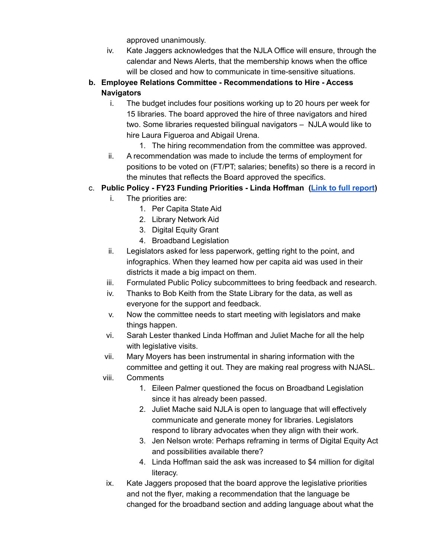approved unanimously.

- iv. Kate Jaggers acknowledges that the NJLA Office will ensure, through the calendar and News Alerts, that the membership knows when the office will be closed and how to communicate in time-sensitive situations.
- **b. Employee Relations Committee - Recommendations to Hire - Access Navigators**
	- i. The budget includes four positions working up to 20 hours per week for 15 libraries. The board approved the hire of three navigators and hired two. Some libraries requested bilingual navigators – NJLA would like to hire Laura Figueroa and Abigail Urena.
		- 1. The hiring recommendation from the committee was approved.
	- ii. A recommendation was made to include the terms of employment for positions to be voted on (FT/PT; salaries; benefits) so there is a record in the minutes that reflects the Board approved the specifics.
- c. **Public Policy - FY23 Funding Priorities - Linda Hoffman (Link to full [report](https://njla.memberclicks.net/assets/Exec_Board_Minutes_Docs/Board_Docs_2021-22/Public%20Policy%20-%20FY23%20Funding%20Priorities.pdf))**
	- i. The priorities are:
		- 1. Per Capita State Aid
		- 2. Library Network Aid
		- 3. Digital Equity Grant
		- 4. Broadband Legislation
	- ii. Legislators asked for less paperwork, getting right to the point, and infographics. When they learned how per capita aid was used in their districts it made a big impact on them.
	- iii. Formulated Public Policy subcommittees to bring feedback and research.
	- iv. Thanks to Bob Keith from the State Library for the data, as well as everyone for the support and feedback.
	- v. Now the committee needs to start meeting with legislators and make things happen.
	- vi. Sarah Lester thanked Linda Hoffman and Juliet Mache for all the help with legislative visits.
	- vii. Mary Moyers has been instrumental in sharing information with the committee and getting it out. They are making real progress with NJASL.
	- viii. Comments
		- 1. Eileen Palmer questioned the focus on Broadband Legislation since it has already been passed.
		- 2. Juliet Mache said NJLA is open to language that will effectively communicate and generate money for libraries. Legislators respond to library advocates when they align with their work.
		- 3. Jen Nelson wrote: Perhaps reframing in terms of Digital Equity Act and possibilities available there?
		- 4. Linda Hoffman said the ask was increased to \$4 million for digital literacy.
	- ix. Kate Jaggers proposed that the board approve the legislative priorities and not the flyer, making a recommendation that the language be changed for the broadband section and adding language about what the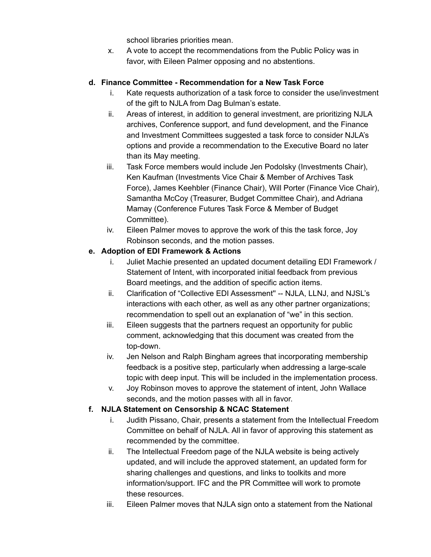school libraries priorities mean.

x. A vote to accept the recommendations from the Public Policy was in favor, with Eileen Palmer opposing and no abstentions.

## **d. Finance Committee - Recommendation for a New Task Force**

- i. Kate requests authorization of a task force to consider the use/investment of the gift to NJLA from Dag Bulman's estate.
- ii. Areas of interest, in addition to general investment, are prioritizing NJLA archives, Conference support, and fund development, and the Finance and Investment Committees suggested a task force to consider NJLA's options and provide a recommendation to the Executive Board no later than its May meeting.
- iii. Task Force members would include Jen Podolsky (Investments Chair), Ken Kaufman (Investments Vice Chair & Member of Archives Task Force), James Keehbler (Finance Chair), Will Porter (Finance Vice Chair), Samantha McCoy (Treasurer, Budget Committee Chair), and Adriana Mamay (Conference Futures Task Force & Member of Budget Committee).
- iv. Eileen Palmer moves to approve the work of this the task force, Joy Robinson seconds, and the motion passes.

## **e. Adoption of EDI Framework & Actions**

- i. Juliet Machie presented an updated document detailing EDI Framework / Statement of Intent, with incorporated initial feedback from previous Board meetings, and the addition of specific action items.
- ii. Clarification of "Collective EDI Assessment'' -- NJLA, LLNJ, and NJSL's interactions with each other, as well as any other partner organizations; recommendation to spell out an explanation of "we" in this section.
- iii. Eileen suggests that the partners request an opportunity for public comment, acknowledging that this document was created from the top-down.
- iv. Jen Nelson and Ralph Bingham agrees that incorporating membership feedback is a positive step, particularly when addressing a large-scale topic with deep input. This will be included in the implementation process.
- v. Joy Robinson moves to approve the statement of intent, John Wallace seconds, and the motion passes with all in favor.

# **f. NJLA Statement on Censorship & NCAC Statement**

- i. Judith Pissano, Chair, presents a statement from the Intellectual Freedom Committee on behalf of NJLA. All in favor of approving this statement as recommended by the committee.
- ii. The Intellectual Freedom page of the NJLA website is being actively updated, and will include the approved statement, an updated form for sharing challenges and questions, and links to toolkits and more information/support. IFC and the PR Committee will work to promote these resources.
- iii. Eileen Palmer moves that NJLA sign onto a statement from the National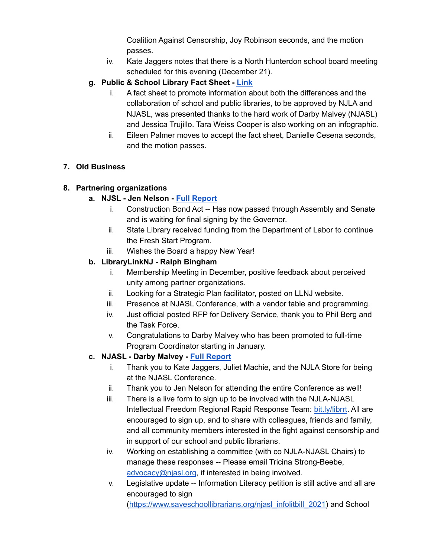Coalition Against Censorship, Joy Robinson seconds, and the motion passes.

- iv. Kate Jaggers notes that there is a North Hunterdon school board meeting scheduled for this evening (December 21).
- **g. Public & School Library Fact Sheet - [Link](https://njla.memberclicks.net/assets/Exec_Board_Minutes_Docs/Board_Docs_2021-22/Public%20and%20School%20Libraries%20Fact%20Sheet%20December%202021.pdf)**
	- i. A fact sheet to promote information about both the differences and the collaboration of school and public libraries, to be approved by NJLA and NJASL, was presented thanks to the hard work of Darby Malvey (NJASL) and Jessica Trujillo. Tara Weiss Cooper is also working on an infographic.
	- ii. Eileen Palmer moves to accept the fact sheet, Danielle Cesena seconds, and the motion passes.

# **7. Old Business**

## **8. Partnering organizations**

## **a. NJSL - Jen Nelson - Full [Report](https://njla.memberclicks.net/assets/Exec_Board_Minutes_Docs/Board_Docs_2021-22/NJSL%20Report%20December%202021.pdf)**

- i. Construction Bond Act -- Has now passed through Assembly and Senate and is waiting for final signing by the Governor.
- ii. State Library received funding from the Department of Labor to continue the Fresh Start Program.
- iii. Wishes the Board a happy New Year!

## **b. LibraryLinkNJ - Ralph Bingham**

- i. Membership Meeting in December, positive feedback about perceived unity among partner organizations.
- ii. Looking for a Strategic Plan facilitator, posted on LLNJ website.
- iii. Presence at NJASL Conference, with a vendor table and programming.
- iv. Just official posted RFP for Delivery Service, thank you to Phil Berg and the Task Force.
- v. Congratulations to Darby Malvey who has been promoted to full-time Program Coordinator starting in January.

# **c. NJASL - Darby Malvey - Full [Report](https://njla.memberclicks.net/assets/Exec_Board_Minutes_Docs/Board_Docs_2021-22/NJASL%20Report%20December%202021.pdf)**

- i. Thank you to Kate Jaggers, Juliet Machie, and the NJLA Store for being at the NJASL Conference.
- ii. Thank you to Jen Nelson for attending the entire Conference as well!
- iii. There is a live form to sign up to be involved with the NJLA-NJASL Intellectual Freedom Regional Rapid Response Team: [bit.ly/librrt](https://docs.google.com/document/u/0/d/1Oeb_rpHF58hu1ECO_eUmxxNnfuEQev-lAw3zZ5D00uE/edit). All are encouraged to sign up, and to share with colleagues, friends and family, and all community members interested in the fight against censorship and in support of our school and public librarians.
- iv. Working on establishing a committee (with co NJLA-NJASL Chairs) to manage these responses -- Please email Tricina Strong-Beebe, [advocacy@njasl.org](mailto:advocacy@njasl.org), if interested in being involved.
- v. Legislative update -- Information Literacy petition is still active and all are encouraged to sign ([https://www.saveschoollibrarians.org/njasl\\_infolitbill\\_2021\)](https://www.saveschoollibrarians.org/njasl_infolitbill_2021) and School